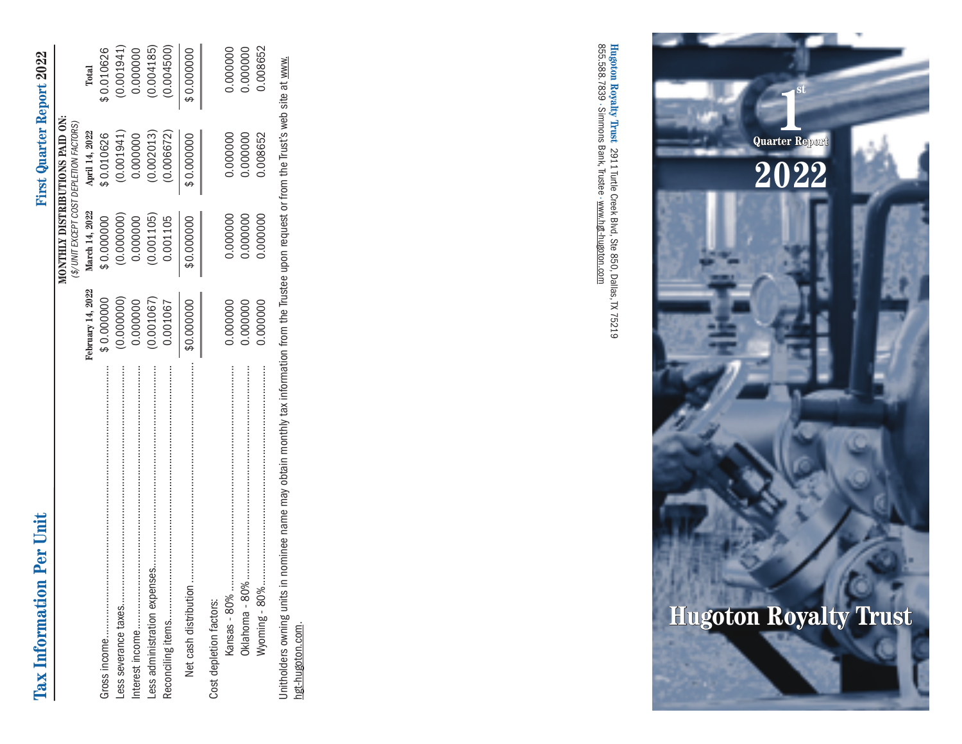# **Tax Information Per Unit First Quarter Report 2022** Tax Information Per Unit

# **First Quarter Report 2022**

|                                                 |                   |                                         | MONTHLY DISTRIBUTIONS PAID ON: |            |
|-------------------------------------------------|-------------------|-----------------------------------------|--------------------------------|------------|
|                                                 |                   | (\$/UNIT EXCEPT COST DEPLETION FACTORS) |                                |            |
|                                                 | February 14, 2022 | March 14, 2022                          | April 14, 2022                 | Total      |
|                                                 | \$0.000000        | \$0.000000                              | \$0.010626                     | \$0.010626 |
| Less severance taxes                            | (0.000000)        | (0.000000)                              | (0.001941)                     | (0.001941) |
|                                                 | 0.000000          | 0.000000                                | 0.000000                       | 0.000000   |
|                                                 | (0.001067)        | (0.001105)                              | (0.002013)                     | (0.004185) |
|                                                 | 0.001067          | 0.001105                                | (0.006672)                     | (0.004500) |
| Net cash distribution                           | \$0.000000        | \$0.000000                              | \$0.000000                     | \$0.000000 |
| Cost depletion factors:                         |                   |                                         |                                |            |
| Kansas - 80%                                    | 0.000000          | 0.000000                                | 0.000000                       | 0.000000   |
|                                                 | 0000000.          | 0.000000                                | 0.000000                       | 0.000000   |
| Wyoming - 80%                                   | 0.000000          | 0.000000                                | 0.08652                        | 0.008652   |
| المعالمين والمستقطع والمستحل المتعاونة والمتحلة |                   |                                         |                                |            |

Unitholders owning units in nominee name may obtain monthly tax information from the Trustee upon request or from the Trust's web site at www.<br>hgt-hugoton.com. Unitholders owning units in nominee name may obtain monthly tax information from the Trustee upon request or from the Trust's web site at www. hgt-hugoton.com.

**Hugoton Royalty Trust** 2911 Turtle Creek Blvd, Ste 850, Dallas,TX 75219<br>855.588.7839 · Simmons Bank, Trustee · <u>www.hgt-hugoton.com</u> 855.588.7839 • **Hugoton Royalty Trust** Simmons Bank, Trustee • 2911 Turtle Creek Blvd, Ste 850, Dallas, TX 75219 www.hgt-hugoton.com